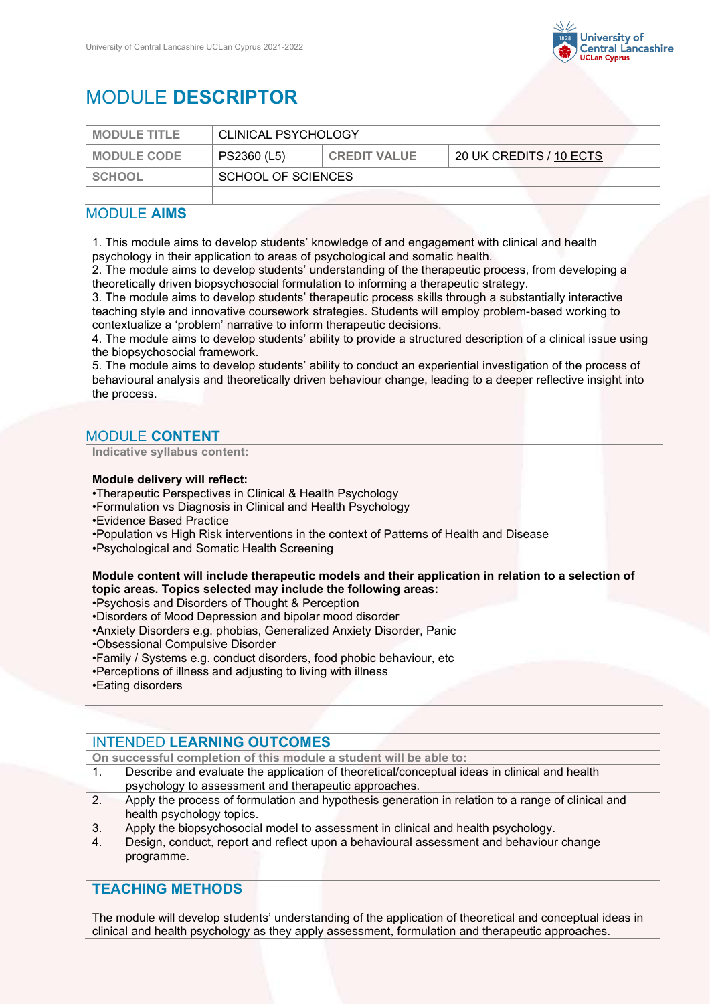

# MODULE **DESCRIPTOR**

| <b>MODULE TITLE</b> | CLINICAL PSYCHOLOGY |                     |                         |
|---------------------|---------------------|---------------------|-------------------------|
| <b>MODULE CODE</b>  | PS2360 (L5)         | <b>CREDIT VALUE</b> | 20 UK CREDITS / 10 ECTS |
| SCHOOL              | SCHOOL OF SCIENCES  |                     |                         |
|                     |                     |                     |                         |

### MODULE **AIMS**

1. This module aims to develop students' knowledge of and engagement with clinical and health psychology in their application to areas of psychological and somatic health.

2. The module aims to develop students' understanding of the therapeutic process, from developing a theoretically driven biopsychosocial formulation to informing a therapeutic strategy.

3. The module aims to develop students' therapeutic process skills through a substantially interactive teaching style and innovative coursework strategies. Students will employ problem-based working to contextualize a 'problem' narrative to inform therapeutic decisions.

4. The module aims to develop students' ability to provide a structured description of a clinical issue using the biopsychosocial framework.

5. The module aims to develop students' ability to conduct an experiential investigation of the process of behavioural analysis and theoretically driven behaviour change, leading to a deeper reflective insight into the process.

## MODULE **CONTENT**

#### **Indicative syllabus content:**

### **Module delivery will reflect:**

- •Therapeutic Perspectives in Clinical & Health Psychology
- •Formulation vs Diagnosis in Clinical and Health Psychology
- •Evidence Based Practice
- •Population vs High Risk interventions in the context of Patterns of Health and Disease
- •Psychological and Somatic Health Screening

### **Module content will include therapeutic models and their application in relation to a selection of topic areas. Topics selected may include the following areas:**

- •Psychosis and Disorders of Thought & Perception
- •Disorders of Mood Depression and bipolar mood disorder
- •Anxiety Disorders e.g. phobias, Generalized Anxiety Disorder, Panic
- •Obsessional Compulsive Disorder
- •Family / Systems e.g. conduct disorders, food phobic behaviour, etc
- •Perceptions of illness and adjusting to living with illness
- •Eating disorders

### INTENDED **LEARNING OUTCOMES**

**On successful completion of this module a student will be able to:**

- 1. Describe and evaluate the application of theoretical/conceptual ideas in clinical and health psychology to assessment and therapeutic approaches.
- 2. Apply the process of formulation and hypothesis generation in relation to a range of clinical and health psychology topics.
- 3. Apply the biopsychosocial model to assessment in clinical and health psychology.
- 4. Design, conduct, report and reflect upon a behavioural assessment and behaviour change programme.

### **TEACHING METHODS**

The module will develop students' understanding of the application of theoretical and conceptual ideas in clinical and health psychology as they apply assessment, formulation and therapeutic approaches.